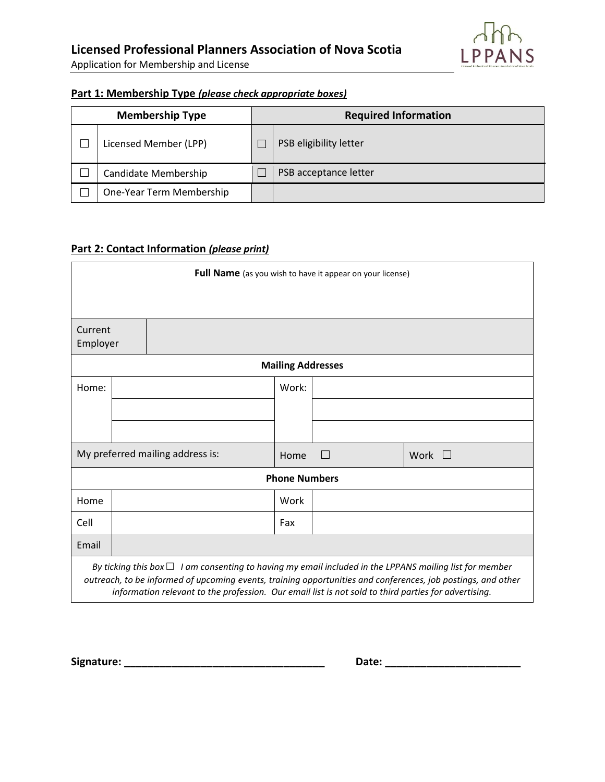Application for Membership and License

## **Part 1: Membership Type** *(please check appropriate boxes)*

| <b>Membership Type</b> |                          | <b>Required Information</b> |                        |  |
|------------------------|--------------------------|-----------------------------|------------------------|--|
|                        | Licensed Member (LPP)    |                             | PSB eligibility letter |  |
|                        | Candidate Membership     |                             | PSB acceptance letter  |  |
|                        | One-Year Term Membership |                             |                        |  |

## **Part 2: Contact Information** *(please print)*

| Full Name (as you wish to have it appear on your license)                                                                                                                                                                                                                                                                            |  |  |       |   |             |  |  |  |  |  |
|--------------------------------------------------------------------------------------------------------------------------------------------------------------------------------------------------------------------------------------------------------------------------------------------------------------------------------------|--|--|-------|---|-------------|--|--|--|--|--|
|                                                                                                                                                                                                                                                                                                                                      |  |  |       |   |             |  |  |  |  |  |
| Current<br>Employer                                                                                                                                                                                                                                                                                                                  |  |  |       |   |             |  |  |  |  |  |
| <b>Mailing Addresses</b>                                                                                                                                                                                                                                                                                                             |  |  |       |   |             |  |  |  |  |  |
| Home:                                                                                                                                                                                                                                                                                                                                |  |  | Work: |   |             |  |  |  |  |  |
|                                                                                                                                                                                                                                                                                                                                      |  |  |       |   |             |  |  |  |  |  |
|                                                                                                                                                                                                                                                                                                                                      |  |  |       |   |             |  |  |  |  |  |
| My preferred mailing address is:                                                                                                                                                                                                                                                                                                     |  |  | Home  | П | Work $\Box$ |  |  |  |  |  |
| <b>Phone Numbers</b>                                                                                                                                                                                                                                                                                                                 |  |  |       |   |             |  |  |  |  |  |
| Home                                                                                                                                                                                                                                                                                                                                 |  |  | Work  |   |             |  |  |  |  |  |
| Cell                                                                                                                                                                                                                                                                                                                                 |  |  | Fax   |   |             |  |  |  |  |  |
| Email                                                                                                                                                                                                                                                                                                                                |  |  |       |   |             |  |  |  |  |  |
| By ticking this box $\Box$ I am consenting to having my email included in the LPPANS mailing list for member<br>outreach, to be informed of upcoming events, training opportunities and conferences, job postings, and other<br>information relevant to the profession. Our email list is not sold to third parties for advertising. |  |  |       |   |             |  |  |  |  |  |

**Signature: \_\_\_\_\_\_\_\_\_\_\_\_\_\_\_\_\_\_\_\_\_\_\_\_\_\_\_\_\_\_\_\_\_\_ Date: \_\_\_\_\_\_\_\_\_\_\_\_\_\_\_\_\_\_\_\_\_\_\_**